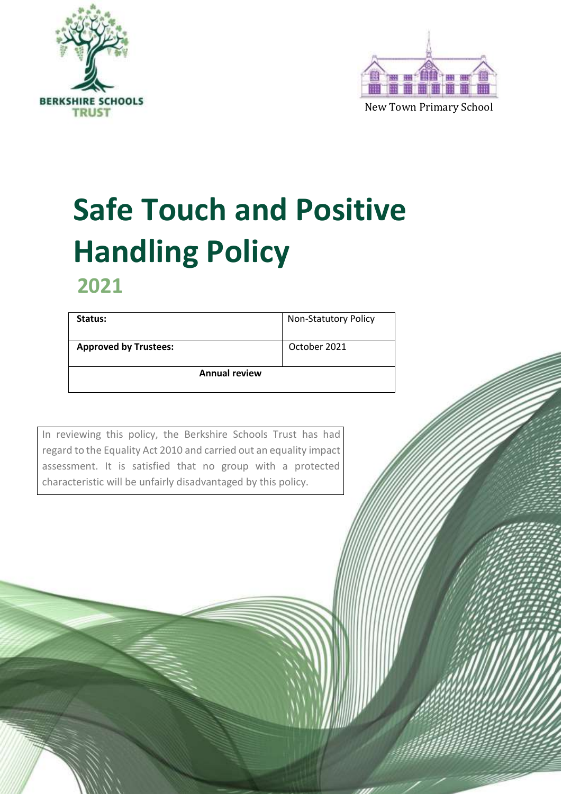



New Town Primary School

# **Safe Touch and Positive Handling Policy 2021**

| Status:                      | <b>Non-Statutory Policy</b> |  |
|------------------------------|-----------------------------|--|
| <b>Approved by Trustees:</b> | October 2021                |  |
| <b>Annual review</b>         |                             |  |

Page **1** of **9**

In reviewing this policy, the Berkshire Schools Trust has had regard to the Equality Act 2010 and carried out an equality impact assessment. It is satisfied that no group with a protected characteristic will be unfairly disadvantaged by this policy.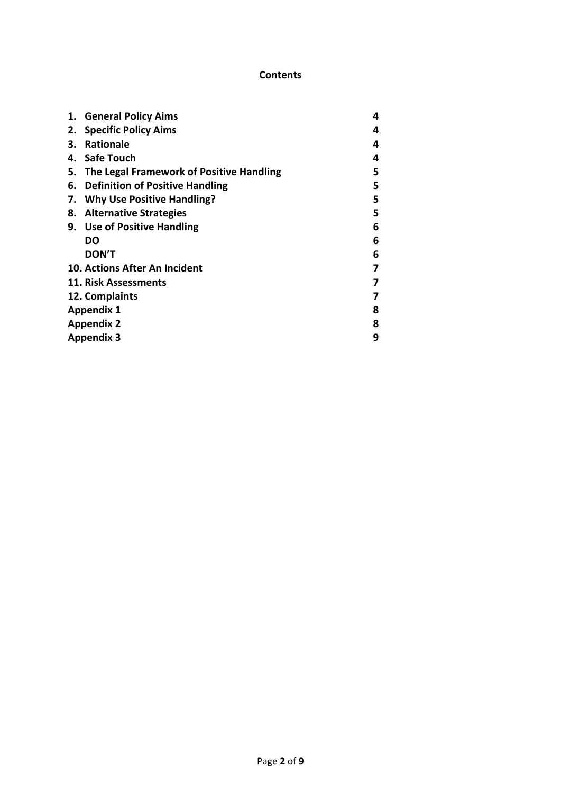# **Contents**

| 1. | <b>General Policy Aims</b>               | 4 |
|----|------------------------------------------|---|
| 2. | <b>Specific Policy Aims</b>              | 4 |
| З. | <b>Rationale</b>                         | 4 |
| 4. | Safe Touch                               | 4 |
| 5. | The Legal Framework of Positive Handling | 5 |
| 6. | <b>Definition of Positive Handling</b>   | 5 |
| 7. | <b>Why Use Positive Handling?</b>        | 5 |
| 8. | <b>Alternative Strategies</b>            | 5 |
|    | 9. Use of Positive Handling              | 6 |
|    | DO                                       | 6 |
|    | <b>DON'T</b>                             | 6 |
|    | 10. Actions After An Incident            | 7 |
|    | 11. Risk Assessments                     |   |
|    | 12. Complaints                           | 7 |
|    | <b>Appendix 1</b>                        | 8 |
|    | <b>Appendix 2</b>                        | 8 |
|    | <b>Appendix 3</b>                        | 9 |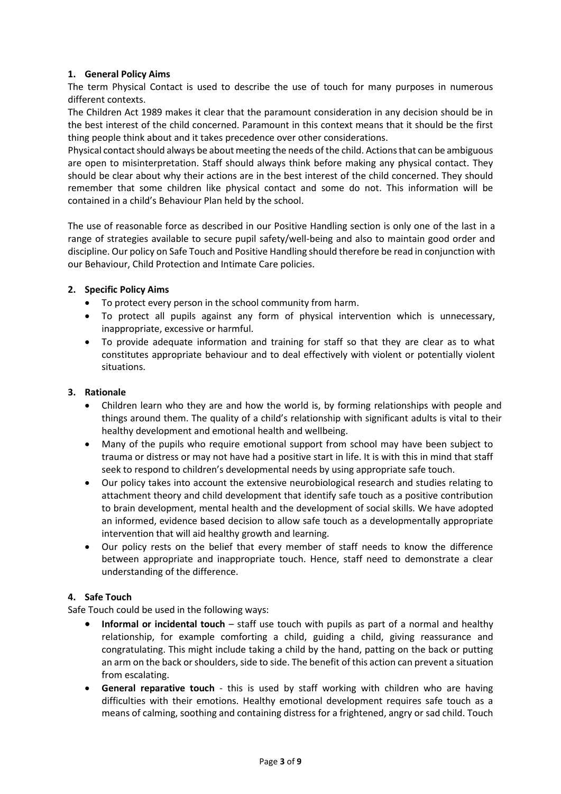# **1. General Policy Aims**

The term Physical Contact is used to describe the use of touch for many purposes in numerous different contexts.

The Children Act 1989 makes it clear that the paramount consideration in any decision should be in the best interest of the child concerned. Paramount in this context means that it should be the first thing people think about and it takes precedence over other considerations.

Physical contact should always be about meeting the needs of the child. Actions that can be ambiguous are open to misinterpretation. Staff should always think before making any physical contact. They should be clear about why their actions are in the best interest of the child concerned. They should remember that some children like physical contact and some do not. This information will be contained in a child's Behaviour Plan held by the school.

The use of reasonable force as described in our Positive Handling section is only one of the last in a range of strategies available to secure pupil safety/well-being and also to maintain good order and discipline. Our policy on Safe Touch and Positive Handling should therefore be read in conjunction with our Behaviour, Child Protection and Intimate Care policies.

# **2. Specific Policy Aims**

- To protect every person in the school community from harm.
- To protect all pupils against any form of physical intervention which is unnecessary, inappropriate, excessive or harmful.
- To provide adequate information and training for staff so that they are clear as to what constitutes appropriate behaviour and to deal effectively with violent or potentially violent situations.

## **3. Rationale**

- Children learn who they are and how the world is, by forming relationships with people and things around them. The quality of a child's relationship with significant adults is vital to their healthy development and emotional health and wellbeing.
- Many of the pupils who require emotional support from school may have been subject to trauma or distress or may not have had a positive start in life. It is with this in mind that staff seek to respond to children's developmental needs by using appropriate safe touch.
- Our policy takes into account the extensive neurobiological research and studies relating to attachment theory and child development that identify safe touch as a positive contribution to brain development, mental health and the development of social skills. We have adopted an informed, evidence based decision to allow safe touch as a developmentally appropriate intervention that will aid healthy growth and learning.
- Our policy rests on the belief that every member of staff needs to know the difference between appropriate and inappropriate touch. Hence, staff need to demonstrate a clear understanding of the difference.

# **4. Safe Touch**

Safe Touch could be used in the following ways:

- **Informal or incidental touch** staff use touch with pupils as part of a normal and healthy relationship, for example comforting a child, guiding a child, giving reassurance and congratulating. This might include taking a child by the hand, patting on the back or putting an arm on the back or shoulders, side to side. The benefit of this action can prevent a situation from escalating.
- **General reparative touch**  this is used by staff working with children who are having difficulties with their emotions. Healthy emotional development requires safe touch as a means of calming, soothing and containing distress for a frightened, angry or sad child. Touch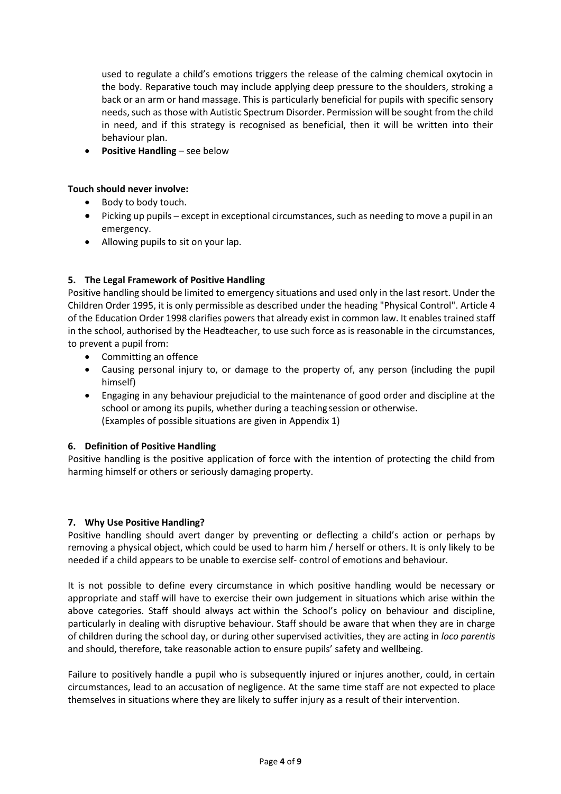used to regulate a child's emotions triggers the release of the calming chemical oxytocin in the body. Reparative touch may include applying deep pressure to the shoulders, stroking a back or an arm or hand massage. This is particularly beneficial for pupils with specific sensory needs, such as those with Autistic Spectrum Disorder. Permission will be sought from the child in need, and if this strategy is recognised as beneficial, then it will be written into their behaviour plan.

**Positive Handling** – see below

## **Touch should never involve:**

- Body to body touch.
- Picking up pupils except in exceptional circumstances, such as needing to move a pupil in an emergency.
- Allowing pupils to sit on your lap.

## **5. The Legal Framework of Positive Handling**

Positive handling should be limited to emergency situations and used only in the last resort. Under the Children Order 1995, it is only permissible as described under the heading "Physical Control". Article 4 of the Education Order 1998 clarifies powers that already exist in common law. It enables trained staff in the school, authorised by the Headteacher, to use such force as is reasonable in the circumstances, to prevent a pupil from:

- Committing an offence
- Causing personal injury to, or damage to the property of, any person (including the pupil himself)
- Engaging in any behaviour prejudicial to the maintenance of good order and discipline at the school or among its pupils, whether during a teachingsession or otherwise. (Examples of possible situations are given in Appendix 1)

#### **6. Definition of Positive Handling**

Positive handling is the positive application of force with the intention of protecting the child from harming himself or others or seriously damaging property.

#### **7. Why Use Positive Handling?**

Positive handling should avert danger by preventing or deflecting a child's action or perhaps by removing a physical object, which could be used to harm him / herself or others. It is only likely to be needed if a child appears to be unable to exercise self- control of emotions and behaviour.

It is not possible to define every circumstance in which positive handling would be necessary or appropriate and staff will have to exercise their own judgement in situations which arise within the above categories. Staff should always act within the School's policy on behaviour and discipline, particularly in dealing with disruptive behaviour. Staff should be aware that when they are in charge of children during the school day, or during other supervised activities, they are acting in *loco parentis*  and should, therefore, take reasonable action to ensure pupils' safety and wellbeing.

Failure to positively handle a pupil who is subsequently injured or injures another, could, in certain circumstances, lead to an accusation of negligence. At the same time staff are not expected to place themselves in situations where they are likely to suffer injury as a result of their intervention.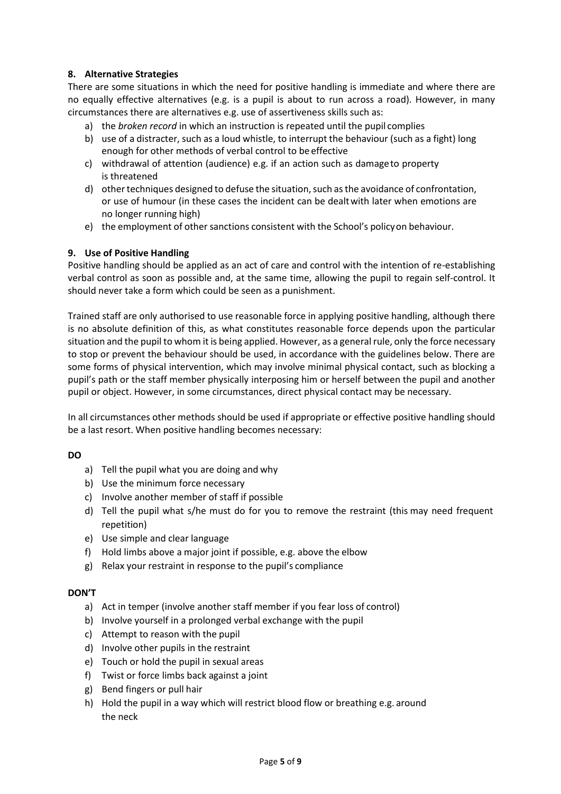# **8. Alternative Strategies**

There are some situations in which the need for positive handling is immediate and where there are no equally effective alternatives (e.g. is a pupil is about to run across a road). However, in many circumstances there are alternatives e.g. use of assertiveness skills such as:

- a) the *broken record* in which an instruction is repeated until the pupil complies
- b) use of a distracter, such as a loud whistle, to interrupt the behaviour (such as a fight) long enough for other methods of verbal control to be effective
- c) withdrawal of attention (audience) e.g. if an action such as damageto property is threatened
- d) other techniques designed to defuse the situation, such as the avoidance of confrontation, or use of humour (in these cases the incident can be dealtwith later when emotions are no longer running high)
- e) the employment of other sanctions consistent with the School's policyon behaviour.

# **9. Use of Positive Handling**

Positive handling should be applied as an act of care and control with the intention of re-establishing verbal control as soon as possible and, at the same time, allowing the pupil to regain self-control. It should never take a form which could be seen as a punishment.

Trained staff are only authorised to use reasonable force in applying positive handling, although there is no absolute definition of this, as what constitutes reasonable force depends upon the particular situation and the pupil to whom it is being applied. However, as a general rule, only the force necessary to stop or prevent the behaviour should be used, in accordance with the guidelines below. There are some forms of physical intervention, which may involve minimal physical contact, such as blocking a pupil's path or the staff member physically interposing him or herself between the pupil and another pupil or object. However, in some circumstances, direct physical contact may be necessary.

In all circumstances other methods should be used if appropriate or effective positive handling should be a last resort. When positive handling becomes necessary:

# **DO**

- a) Tell the pupil what you are doing and why
- b) Use the minimum force necessary
- c) Involve another member of staff if possible
- d) Tell the pupil what s/he must do for you to remove the restraint (this may need frequent repetition)
- e) Use simple and clear language
- f) Hold limbs above a major joint if possible, e.g. above the elbow
- g) Relax your restraint in response to the pupil's compliance

#### **DON'T**

- a) Act in temper (involve another staff member if you fear loss of control)
- b) Involve yourself in a prolonged verbal exchange with the pupil
- c) Attempt to reason with the pupil
- d) Involve other pupils in the restraint
- e) Touch or hold the pupil in sexual areas
- f) Twist or force limbs back against a joint
- g) Bend fingers or pull hair
- h) Hold the pupil in a way which will restrict blood flow or breathing e.g. around the neck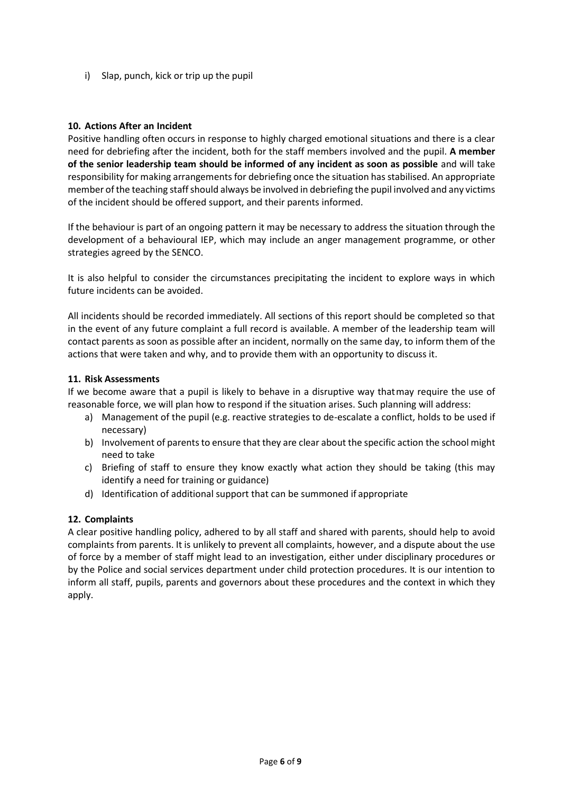i) Slap, punch, kick or trip up the pupil

#### **10. Actions After an Incident**

Positive handling often occurs in response to highly charged emotional situations and there is a clear need for debriefing after the incident, both for the staff members involved and the pupil. **A member of the senior leadership team should be informed of any incident as soon as possible** and will take responsibility for making arrangements for debriefing once the situation has stabilised. An appropriate member of the teaching staff should always be involved in debriefing the pupil involved and any victims of the incident should be offered support, and their parents informed.

If the behaviour is part of an ongoing pattern it may be necessary to address the situation through the development of a behavioural IEP, which may include an anger management programme, or other strategies agreed by the SENCO.

It is also helpful to consider the circumstances precipitating the incident to explore ways in which future incidents can be avoided.

All incidents should be recorded immediately. All sections of this report should be completed so that in the event of any future complaint a full record is available. A member of the leadership team will contact parents as soon as possible after an incident, normally on the same day, to inform them of the actions that were taken and why, and to provide them with an opportunity to discuss it.

#### **11. Risk Assessments**

If we become aware that a pupil is likely to behave in a disruptive way thatmay require the use of reasonable force, we will plan how to respond if the situation arises. Such planning will address:

- a) Management of the pupil (e.g. reactive strategies to de-escalate a conflict, holds to be used if necessary)
- b) Involvement of parents to ensure that they are clear about the specific action the school might need to take
- c) Briefing of staff to ensure they know exactly what action they should be taking (this may identify a need for training or guidance)
- d) Identification of additional support that can be summoned if appropriate

#### **12. Complaints**

A clear positive handling policy, adhered to by all staff and shared with parents, should help to avoid complaints from parents. It is unlikely to prevent all complaints, however, and a dispute about the use of force by a member of staff might lead to an investigation, either under disciplinary procedures or by the Police and social services department under child protection procedures. It is our intention to inform all staff, pupils, parents and governors about these procedures and the context in which they apply.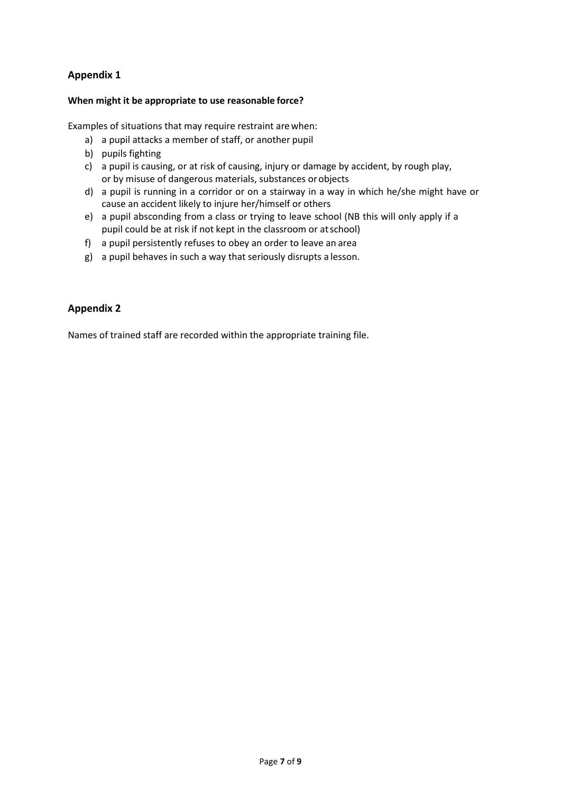# **Appendix 1**

#### **When might it be appropriate to use reasonable force?**

Examples of situations that may require restraint arewhen:

- a) a pupil attacks a member of staff, or another pupil
- b) pupils fighting
- c) a pupil is causing, or at risk of causing, injury or damage by accident, by rough play, or by misuse of dangerous materials, substances orobjects
- d) a pupil is running in a corridor or on a stairway in a way in which he/she might have or cause an accident likely to injure her/himself or others
- e) a pupil absconding from a class or trying to leave school (NB this will only apply if a pupil could be at risk if not kept in the classroom or atschool)
- f) a pupil persistently refuses to obey an order to leave an area
- g) a pupil behaves in such a way that seriously disrupts a lesson.

# **Appendix 2**

Names of trained staff are recorded within the appropriate training file.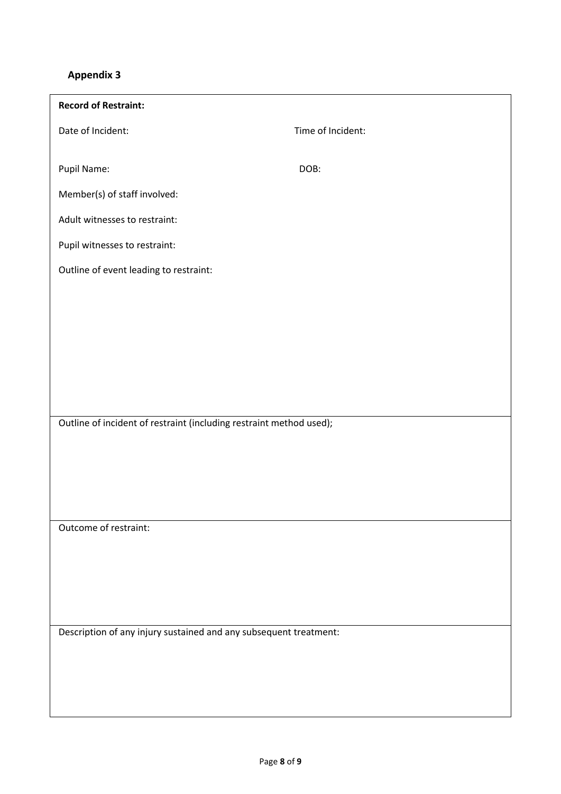# **Appendix 3**

| <b>Record of Restraint:</b>                                         |                   |  |  |  |
|---------------------------------------------------------------------|-------------------|--|--|--|
| Date of Incident:                                                   | Time of Incident: |  |  |  |
|                                                                     |                   |  |  |  |
| Pupil Name:                                                         | DOB:              |  |  |  |
| Member(s) of staff involved:                                        |                   |  |  |  |
| Adult witnesses to restraint:                                       |                   |  |  |  |
| Pupil witnesses to restraint:                                       |                   |  |  |  |
| Outline of event leading to restraint:                              |                   |  |  |  |
|                                                                     |                   |  |  |  |
|                                                                     |                   |  |  |  |
|                                                                     |                   |  |  |  |
|                                                                     |                   |  |  |  |
|                                                                     |                   |  |  |  |
|                                                                     |                   |  |  |  |
| Outline of incident of restraint (including restraint method used); |                   |  |  |  |
|                                                                     |                   |  |  |  |
|                                                                     |                   |  |  |  |
|                                                                     |                   |  |  |  |
| Outcome of restraint:                                               |                   |  |  |  |
|                                                                     |                   |  |  |  |
|                                                                     |                   |  |  |  |
|                                                                     |                   |  |  |  |
|                                                                     |                   |  |  |  |
| Description of any injury sustained and any subsequent treatment:   |                   |  |  |  |
|                                                                     |                   |  |  |  |
|                                                                     |                   |  |  |  |
|                                                                     |                   |  |  |  |